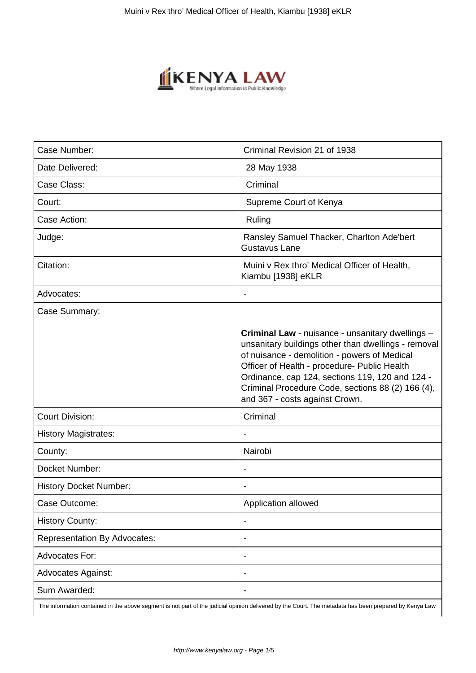

| Case Number:                        | Criminal Revision 21 of 1938                                                                                                                                                                                                                                                                                                                      |
|-------------------------------------|---------------------------------------------------------------------------------------------------------------------------------------------------------------------------------------------------------------------------------------------------------------------------------------------------------------------------------------------------|
| Date Delivered:                     | 28 May 1938                                                                                                                                                                                                                                                                                                                                       |
| Case Class:                         | Criminal                                                                                                                                                                                                                                                                                                                                          |
| Court:                              | Supreme Court of Kenya                                                                                                                                                                                                                                                                                                                            |
| Case Action:                        | Ruling                                                                                                                                                                                                                                                                                                                                            |
| Judge:                              | Ransley Samuel Thacker, Charlton Ade'bert<br><b>Gustavus Lane</b>                                                                                                                                                                                                                                                                                 |
| Citation:                           | Muini v Rex thro' Medical Officer of Health,<br>Kiambu [1938] eKLR                                                                                                                                                                                                                                                                                |
| Advocates:                          | $\blacksquare$                                                                                                                                                                                                                                                                                                                                    |
| Case Summary:                       |                                                                                                                                                                                                                                                                                                                                                   |
|                                     | Criminal Law - nuisance - unsanitary dwellings -<br>unsanitary buildings other than dwellings - removal<br>of nuisance - demolition - powers of Medical<br>Officer of Health - procedure- Public Health<br>Ordinance, cap 124, sections 119, 120 and 124 -<br>Criminal Procedure Code, sections 88 (2) 166 (4),<br>and 367 - costs against Crown. |
| <b>Court Division:</b>              | Criminal                                                                                                                                                                                                                                                                                                                                          |
| <b>History Magistrates:</b>         |                                                                                                                                                                                                                                                                                                                                                   |
| County:                             | Nairobi                                                                                                                                                                                                                                                                                                                                           |
| Docket Number:                      |                                                                                                                                                                                                                                                                                                                                                   |
| <b>History Docket Number:</b>       |                                                                                                                                                                                                                                                                                                                                                   |
| Case Outcome:                       | Application allowed                                                                                                                                                                                                                                                                                                                               |
| <b>History County:</b>              |                                                                                                                                                                                                                                                                                                                                                   |
| <b>Representation By Advocates:</b> | $\overline{\phantom{a}}$                                                                                                                                                                                                                                                                                                                          |
| <b>Advocates For:</b>               |                                                                                                                                                                                                                                                                                                                                                   |
| <b>Advocates Against:</b>           |                                                                                                                                                                                                                                                                                                                                                   |
| Sum Awarded:                        |                                                                                                                                                                                                                                                                                                                                                   |

The information contained in the above segment is not part of the judicial opinion delivered by the Court. The metadata has been prepared by Kenya Law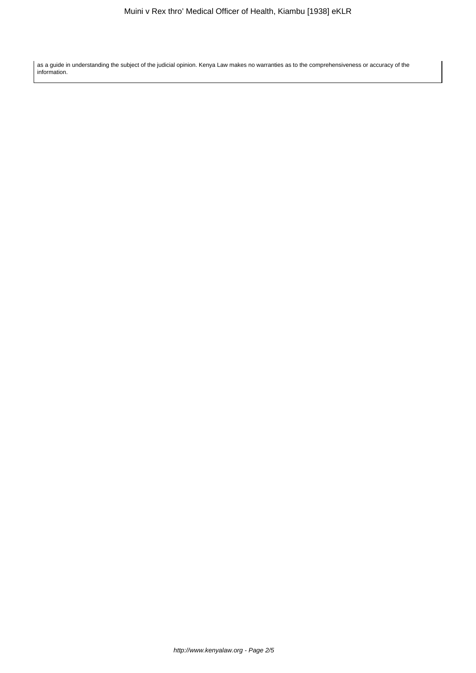as a guide in understanding the subject of the judicial opinion. Kenya Law makes no warranties as to the comprehensiveness or accuracy of the information.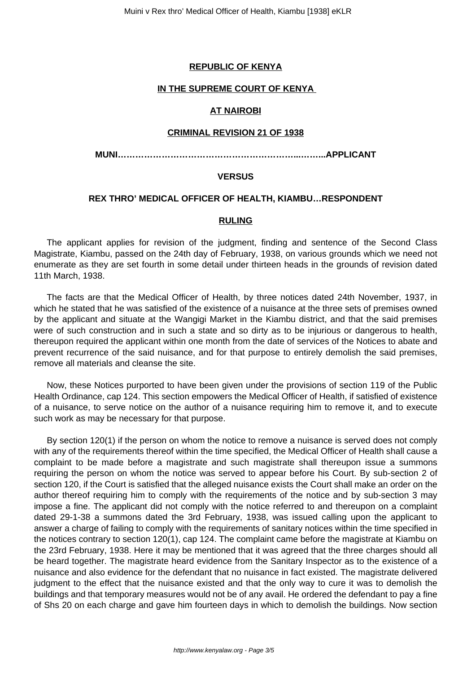## **REPUBLIC OF KENYA**

## **IN THE SUPREME COURT OF KENYA**

# **AT NAIROBI**

## **CRIMINAL REVISION 21 OF 1938**

**MUNI……………………………………………………...……...APPLICANT**

### **VERSUS**

## **REX THRO' MEDICAL OFFICER OF HEALTH, KIAMBU…RESPONDENT**

## **RULING**

The applicant applies for revision of the judgment, finding and sentence of the Second Class Magistrate, Kiambu, passed on the 24th day of February, 1938, on various grounds which we need not enumerate as they are set fourth in some detail under thirteen heads in the grounds of revision dated 11th March, 1938.

The facts are that the Medical Officer of Health, by three notices dated 24th November, 1937, in which he stated that he was satisfied of the existence of a nuisance at the three sets of premises owned by the applicant and situate at the Wangigi Market in the Kiambu district, and that the said premises were of such construction and in such a state and so dirty as to be injurious or dangerous to health, thereupon required the applicant within one month from the date of services of the Notices to abate and prevent recurrence of the said nuisance, and for that purpose to entirely demolish the said premises, remove all materials and cleanse the site.

Now, these Notices purported to have been given under the provisions of section 119 of the Public Health Ordinance, cap 124. This section empowers the Medical Officer of Health, if satisfied of existence of a nuisance, to serve notice on the author of a nuisance requiring him to remove it, and to execute such work as may be necessary for that purpose.

By section 120(1) if the person on whom the notice to remove a nuisance is served does not comply with any of the requirements thereof within the time specified, the Medical Officer of Health shall cause a complaint to be made before a magistrate and such magistrate shall thereupon issue a summons requiring the person on whom the notice was served to appear before his Court. By sub-section 2 of section 120, if the Court is satisfied that the alleged nuisance exists the Court shall make an order on the author thereof requiring him to comply with the requirements of the notice and by sub-section 3 may impose a fine. The applicant did not comply with the notice referred to and thereupon on a complaint dated 29-1-38 a summons dated the 3rd February, 1938, was issued calling upon the applicant to answer a charge of failing to comply with the requirements of sanitary notices within the time specified in the notices contrary to section 120(1), cap 124. The complaint came before the magistrate at Kiambu on the 23rd February, 1938. Here it may be mentioned that it was agreed that the three charges should all be heard together. The magistrate heard evidence from the Sanitary Inspector as to the existence of a nuisance and also evidence for the defendant that no nuisance in fact existed. The magistrate delivered judgment to the effect that the nuisance existed and that the only way to cure it was to demolish the buildings and that temporary measures would not be of any avail. He ordered the defendant to pay a fine of Shs 20 on each charge and gave him fourteen days in which to demolish the buildings. Now section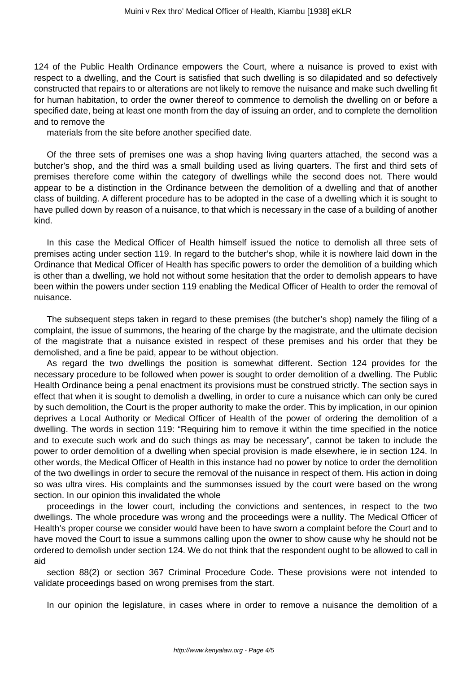124 of the Public Health Ordinance empowers the Court, where a nuisance is proved to exist with respect to a dwelling, and the Court is satisfied that such dwelling is so dilapidated and so defectively constructed that repairs to or alterations are not likely to remove the nuisance and make such dwelling fit for human habitation, to order the owner thereof to commence to demolish the dwelling on or before a specified date, being at least one month from the day of issuing an order, and to complete the demolition and to remove the

materials from the site before another specified date.

Of the three sets of premises one was a shop having living quarters attached, the second was a butcher's shop, and the third was a small building used as living quarters. The first and third sets of premises therefore come within the category of dwellings while the second does not. There would appear to be a distinction in the Ordinance between the demolition of a dwelling and that of another class of building. A different procedure has to be adopted in the case of a dwelling which it is sought to have pulled down by reason of a nuisance, to that which is necessary in the case of a building of another kind.

In this case the Medical Officer of Health himself issued the notice to demolish all three sets of premises acting under section 119. In regard to the butcher's shop, while it is nowhere laid down in the Ordinance that Medical Officer of Health has specific powers to order the demolition of a building which is other than a dwelling, we hold not without some hesitation that the order to demolish appears to have been within the powers under section 119 enabling the Medical Officer of Health to order the removal of nuisance.

The subsequent steps taken in regard to these premises (the butcher's shop) namely the filing of a complaint, the issue of summons, the hearing of the charge by the magistrate, and the ultimate decision of the magistrate that a nuisance existed in respect of these premises and his order that they be demolished, and a fine be paid, appear to be without objection.

As regard the two dwellings the position is somewhat different. Section 124 provides for the necessary procedure to be followed when power is sought to order demolition of a dwelling. The Public Health Ordinance being a penal enactment its provisions must be construed strictly. The section says in effect that when it is sought to demolish a dwelling, in order to cure a nuisance which can only be cured by such demolition, the Court is the proper authority to make the order. This by implication, in our opinion deprives a Local Authority or Medical Officer of Health of the power of ordering the demolition of a dwelling. The words in section 119: "Requiring him to remove it within the time specified in the notice and to execute such work and do such things as may be necessary", cannot be taken to include the power to order demolition of a dwelling when special provision is made elsewhere, ie in section 124. In other words, the Medical Officer of Health in this instance had no power by notice to order the demolition of the two dwellings in order to secure the removal of the nuisance in respect of them. His action in doing so was ultra vires. His complaints and the summonses issued by the court were based on the wrong section. In our opinion this invalidated the whole

proceedings in the lower court, including the convictions and sentences, in respect to the two dwellings. The whole procedure was wrong and the proceedings were a nullity. The Medical Officer of Health's proper course we consider would have been to have sworn a complaint before the Court and to have moved the Court to issue a summons calling upon the owner to show cause why he should not be ordered to demolish under section 124. We do not think that the respondent ought to be allowed to call in aid

section 88(2) or section 367 Criminal Procedure Code. These provisions were not intended to validate proceedings based on wrong premises from the start.

In our opinion the legislature, in cases where in order to remove a nuisance the demolition of a